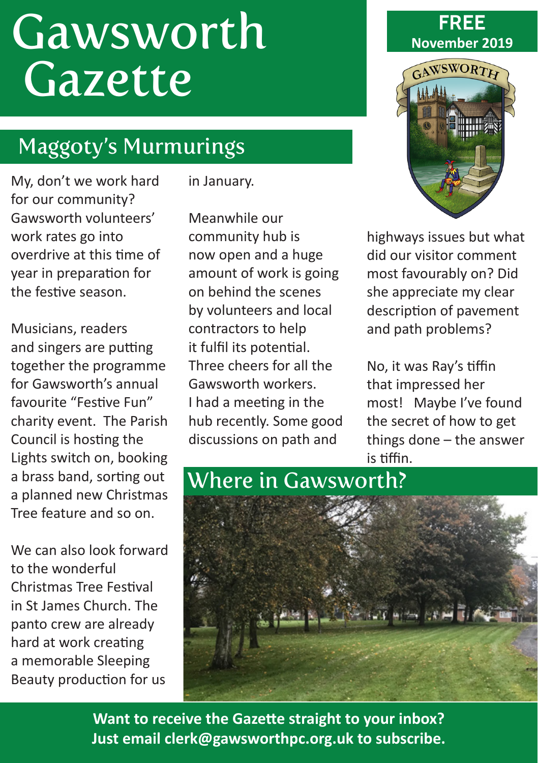# **Gawsworth** Gazette

# Maggoty's Murmurings

My, don't we work hard for our community? Gawsworth volunteers' work rates go into overdrive at this time of year in preparation for the festive season.

Musicians, readers and singers are putting together the programme for Gawsworth's annual favourite "Festive Fun" charity event. The Parish Council is hosting the Lights switch on, booking a brass band, sorting out a planned new Christmas Tree feature and so on.

We can also look forward to the wonderful Christmas Tree Festival in St James Church. The panto crew are already hard at work creating a memorable Sleeping Beauty production for us

in January.

Meanwhile our community hub is now open and a huge amount of work is going on behind the scenes by volunteers and local contractors to help it fulfil its potential. Three cheers for all the Gawsworth workers. I had a meeting in the hub recently. Some good discussions on path and





highways issues but what did our visitor comment most favourably on? Did she appreciate my clear description of pavement and path problems?

No, it was Ray's tiffin that impressed her most! Maybe I've found the secret of how to get things done – the answer is tiffin.



**Want to receive the Gazette straight to your inbox? Just email clerk@gawsworthpc.org.uk to subscribe.**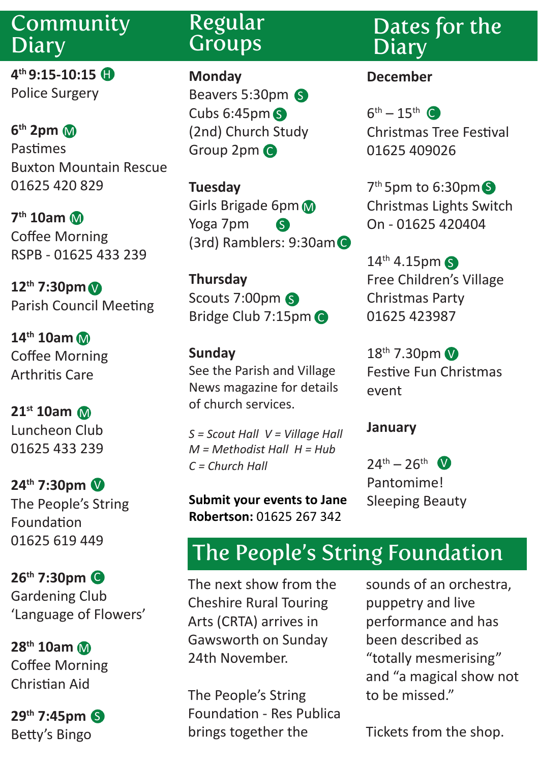## Community **Diary**

**4th 9:15-10:15** H Police Surgery

**6th 2pm**  M Pastimes Buxton Mountain Rescue 01625 420 829

**7th 10am** M Coffee Morning RSPB - 01625 433 239

**12th 7:30pm** V Parish Council Meeting

**14th 10am** M Coffee Morning Arthritis Care

**21st 10am** M Luncheon Club 01625 433 239

**24th 7:30pm** V The People's String Foundation 01625 619 449

**26th 7:30pm** C Gardening Club 'Language of Flowers'

**28th 10am** M Coffee Morning Christian Aid

**29th 7:45pm** S Betty's Bingo

# Regular **Groups**

**Monday** Beavers 5:30pm 6 Cubs 6:45pm S (2nd) Church Study Group 2pm C

**Tuesday** Girls Brigade 6pm Yoga 7pm (3rd) Ramblers: 9:30am C S

**Thursday** Scouts 7:00pm Bridge Club 7:15pm C

**Sunday** See the Parish and Village News magazine for details of church services.

*S = Scout Hall V = Village Hall M = Methodist Hall H = Hub C = Church Hall* 

**Submit your events to Jane Robertson:** 01625 267 342

Dates for the **Diary** 

#### **December**

 $6^{th} - 15^{th}$  ( Christmas Tree Festival 01625 409026

7<sup>th</sup> 5pm to 6:30pm Christmas Lights Switch On - 01625 420404

14<sup>th</sup> 4.15pm 6 Free Children's Village Christmas Party 01625 423987

18<sup>th</sup> 7.30pm Festive Fun Christmas event

#### **January**

 $24^{th} - 26^{th}$  V Pantomime! Sleeping Beauty

# The People's String Foundation

The next show from the Cheshire Rural Touring Arts (CRTA) arrives in Gawsworth on Sunday 24th November.

The People's String Foundation - Res Publica brings together the

sounds of an orchestra, puppetry and live performance and has been described as "totally mesmerising" and "a magical show not to be missed."

Tickets from the shop.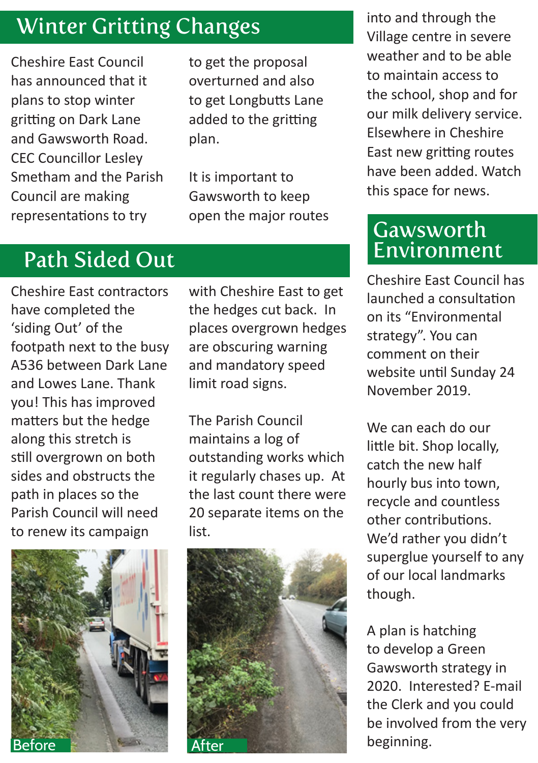# Winter Gritting Changes

Cheshire East Council has announced that it plans to stop winter gritting on Dark Lane and Gawsworth Road. CEC Councillor Lesley Smetham and the Parish Council are making representations to try

to get the proposal overturned and also to get Longbutts Lane added to the gritting plan.

It is important to Gawsworth to keep open the major routes

# Path Sided Out

Cheshire East contractors have completed the 'siding Out' of the footpath next to the busy A536 between Dark Lane and Lowes Lane. Thank you! This has improved matters but the hedge along this stretch is still overgrown on both sides and obstructs the path in places so the Parish Council will need to renew its campaign



with Cheshire East to get the hedges cut back. In places overgrown hedges are obscuring warning and mandatory speed limit road signs.

The Parish Council maintains a log of outstanding works which it regularly chases up. At the last count there were 20 separate items on the list.



into and through the Village centre in severe weather and to be able to maintain access to the school, shop and for our milk delivery service. Elsewhere in Cheshire East new gritting routes have been added. Watch this space for news.

### Gawsworth Environment

Cheshire East Council has launched a consultation on its "Environmental strategy". You can comment on their website until Sunday 24 November 2019.

We can each do our little bit. Shop locally, catch the new half hourly bus into town, recycle and countless other contributions. We'd rather you didn't superglue yourself to any of our local landmarks though.

A plan is hatching to develop a Green Gawsworth strategy in 2020. Interested? E-mail the Clerk and you could be involved from the very